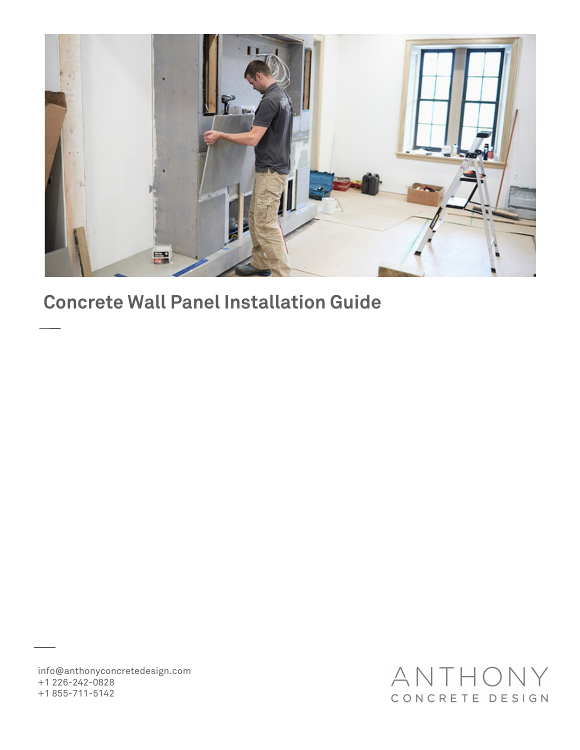

### **Concrete Wall Panel Installation Guide**

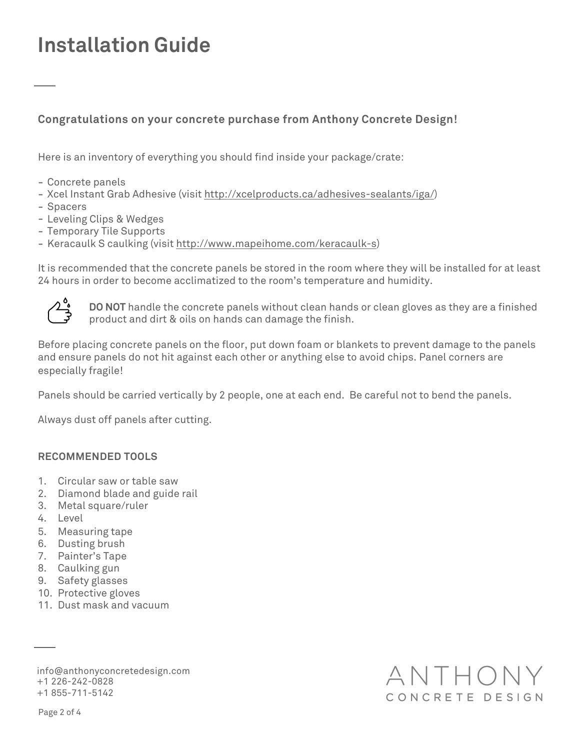# **Installation Guide**

### **Congratulations on your concrete purchase from Anthony Concrete Design!**

Here is an inventory of everything you should find inside your package/crate:

- Concrete panels
- Xcel Instant Grab Adhesive (visit <http://xcelproducts.ca/adhesives-sealants/iga/>)
- Spacers
- Leveling Clips & Wedges
- Temporary Tile Supports
- Keracaulk S caulking (visit [http://www.mapeihome.com/keracaulk-s\)](http://www.mapeihome.com/keracaulk-s)

It is recommended that the concrete panels be stored in the room where they will be installed for at least 24 hours in order to become acclimatized to the room's temperature and humidity.



**DO NOT** handle the concrete panels without clean hands or clean gloves as they are a finished product and dirt & oils on hands can damage the finish.

ANTHON

CONCRETE DESIGN

Before placing concrete panels on the floor, put down foam or blankets to prevent damage to the panels and ensure panels do not hit against each other or anything else to avoid chips. Panel corners are especially fragile!

Panels should be carried vertically by 2 people, one at each end. Be careful not to bend the panels.

Always dust off panels after cutting.

#### **RECOMMENDED TOOLS**

- 1. Circular saw or table saw
- 2. Diamond blade and guide rail
- 3. Metal square/ruler
- 4. Level
- 5. Measuring tape
- 6. Dusting brush
- 7. Painter's Tape
- 8. Caulking gun
- 9. Safety glasses
- 10. Protective gloves
- 11. Dust mask and vacuum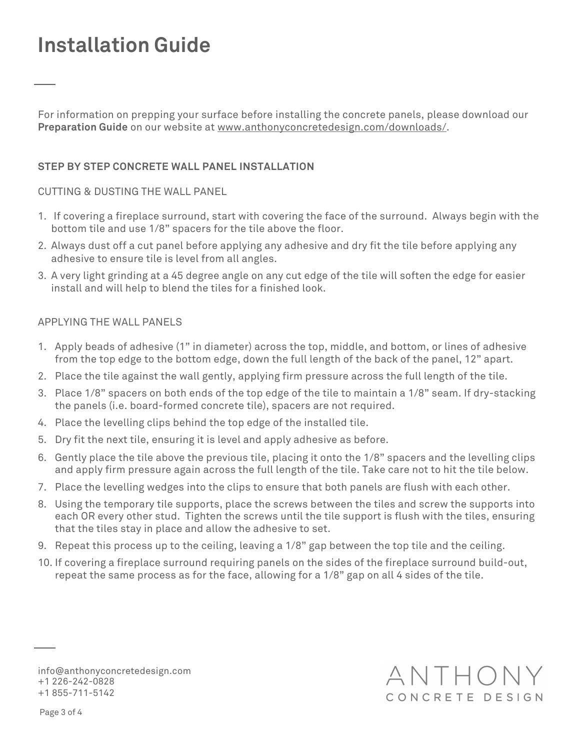# **Installation Guide**

For information on prepping your surface before installing the concrete panels, please download our **Preparation Guide** on our website at [www.anthonyconcretedesign.com/downloads/](http://www.anthonyconcretedesign.com/downloads/).

### **STEP BY STEP CONCRETE WALL PANEL INSTALLATION**

CUTTING & DUSTING THE WALL PANEL

- 1. If covering a fireplace surround, start with covering the face of the surround. Always begin with the bottom tile and use 1/8" spacers for the tile above the floor.
- 2. Always dust off a cut panel before applying any adhesive and dry fit the tile before applying any adhesive to ensure tile is level from all angles.
- 3. A very light grinding at a 45 degree angle on any cut edge of the tile will soften the edge for easier install and will help to blend the tiles for a finished look.

#### APPLYING THE WALL PANELS

- 1. Apply beads of adhesive (1" in diameter) across the top, middle, and bottom, or lines of adhesive from the top edge to the bottom edge, down the full length of the back of the panel, 12" apart.
- 2. Place the tile against the wall gently, applying firm pressure across the full length of the tile.
- 3. Place 1/8" spacers on both ends of the top edge of the tile to maintain a 1/8" seam. If dry-stacking the panels (i.e. board-formed concrete tile), spacers are not required.
- 4. Place the levelling clips behind the top edge of the installed tile.
- 5. Dry fit the next tile, ensuring it is level and apply adhesive as before.
- 6. Gently place the tile above the previous tile, placing it onto the 1/8" spacers and the levelling clips and apply firm pressure again across the full length of the tile. Take care not to hit the tile below.
- 7. Place the levelling wedges into the clips to ensure that both panels are flush with each other.
- 8. Using the temporary tile supports, place the screws between the tiles and screw the supports into each OR every other stud. Tighten the screws until the tile support is flush with the tiles, ensuring that the tiles stay in place and allow the adhesive to set.
- 9. Repeat this process up to the ceiling, leaving a 1/8" gap between the top tile and the ceiling.
- 10. If covering a fireplace surround requiring panels on the sides of the fireplace surround build-out, repeat the same process as for the face, allowing for a 1/8" gap on all 4 sides of the tile.